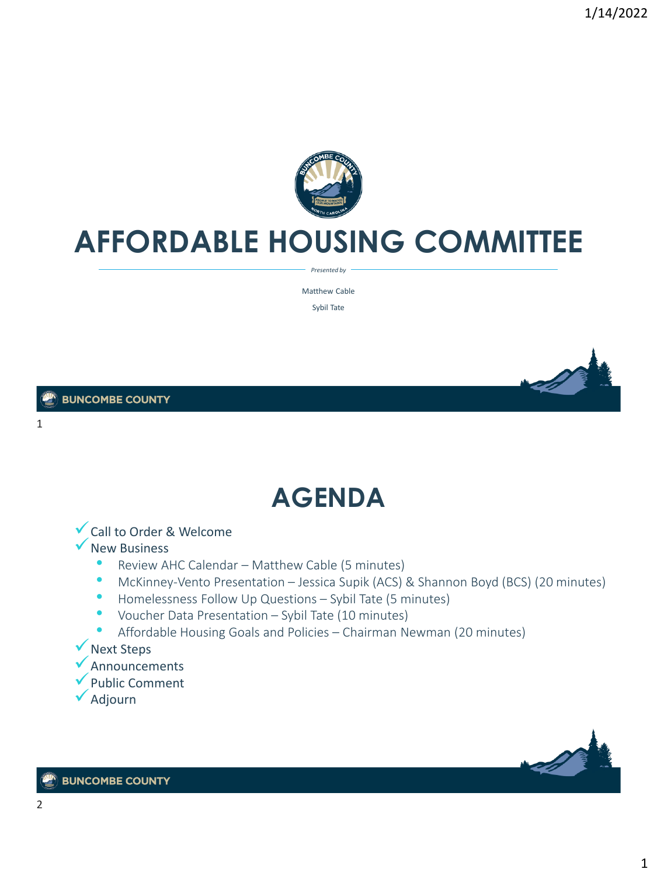

### **AFFORDABLE HOUSING COMMITTEE**

*Presented by*

Matthew Cable Sybil Tate

1

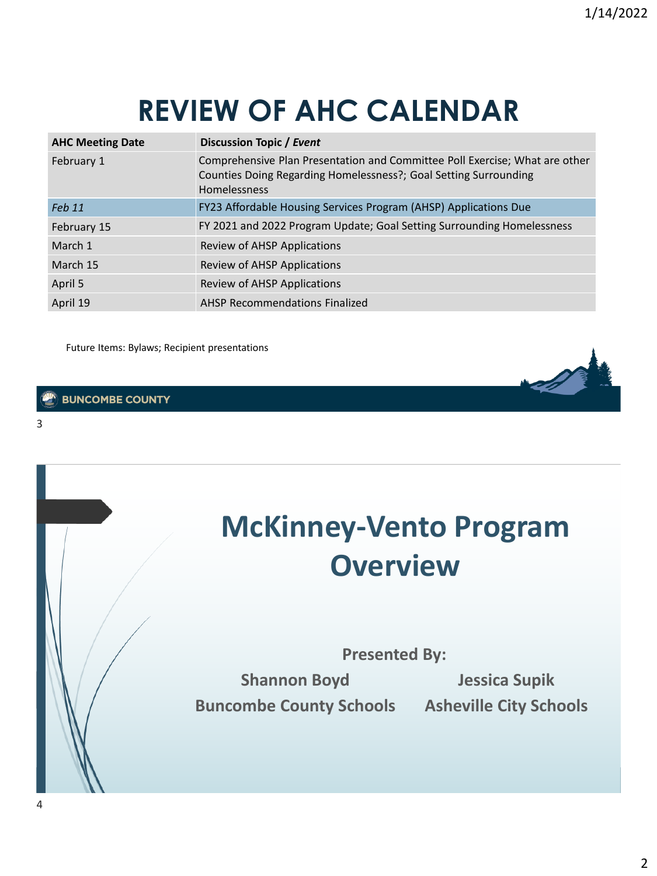## **REVIEW OF AHC CALENDAR**

| <b>AHC Meeting Date</b> | Discussion Topic / Event                                                                                                                                        |
|-------------------------|-----------------------------------------------------------------------------------------------------------------------------------------------------------------|
| February 1              | Comprehensive Plan Presentation and Committee Poll Exercise; What are other<br>Counties Doing Regarding Homelessness?; Goal Setting Surrounding<br>Homelessness |
| Feb 11                  | FY23 Affordable Housing Services Program (AHSP) Applications Due                                                                                                |
| February 15             | FY 2021 and 2022 Program Update; Goal Setting Surrounding Homelessness                                                                                          |
| March 1                 | Review of AHSP Applications                                                                                                                                     |
| March 15                | Review of AHSP Applications                                                                                                                                     |
| April 5                 | Review of AHSP Applications                                                                                                                                     |
| April 19                | AHSP Recommendations Finalized                                                                                                                                  |

Future Items: Bylaws; Recipient presentations

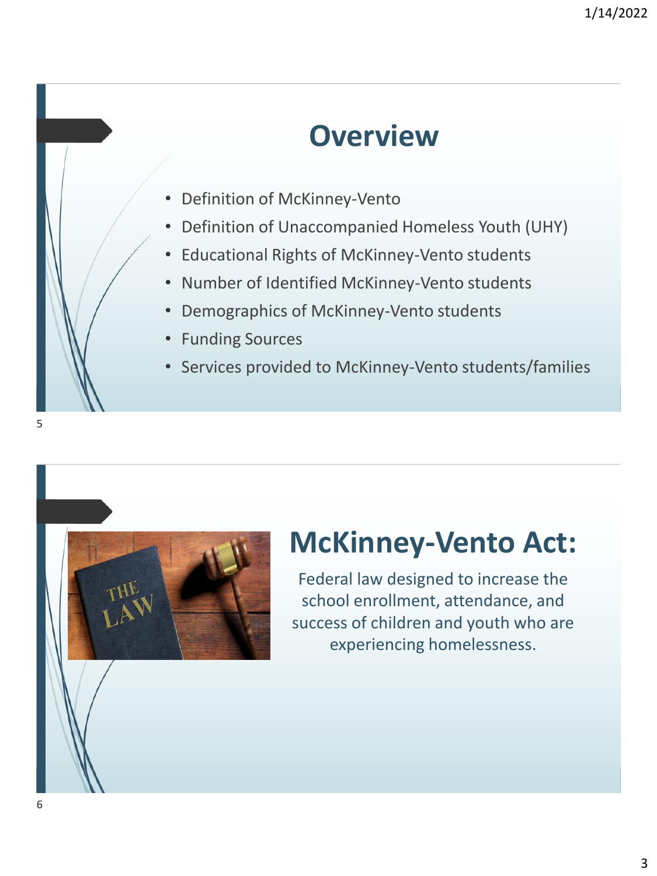### **Overview**

- Definition of McKinney-Vento
- Definition of Unaccompanied Homeless Youth (UHY)
- Educational Rights of McKinney-Vento students
- Number of Identified McKinney-Vento students
- Demographics of McKinney-Vento students
- Funding Sources
- Services provided to McKinney-Vento students/families



### **McKinney-Vento Act:**

Federal law designed to increase the school enrollment, attendance, and success of children and youth who are experiencing homelessness.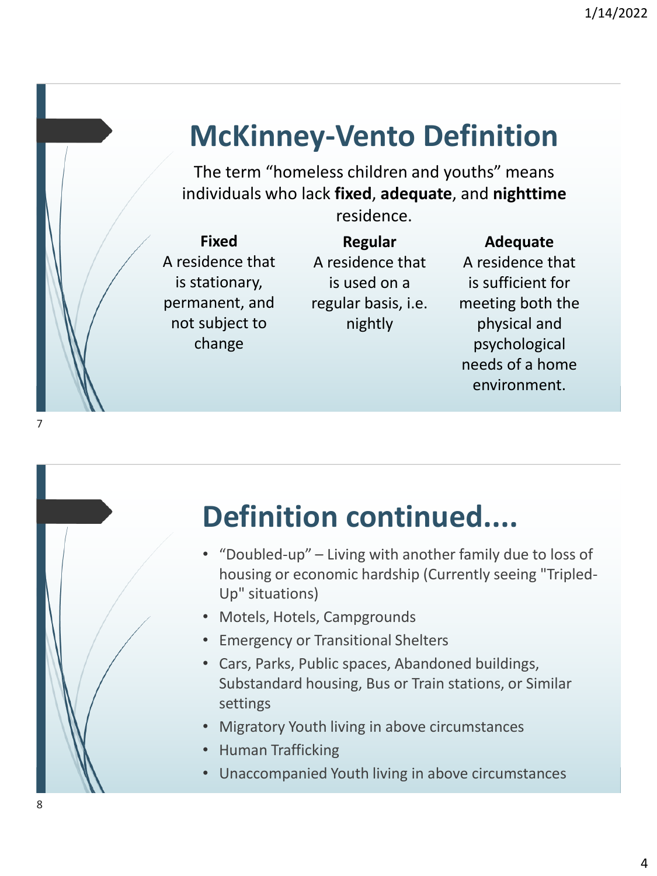### **McKinney-Vento Definition**

The term "homeless children and youths" means individuals who lack **fixed**, **adequate**, and **nighttime**

residence.

**Fixed** A residence that is stationary, permanent, and not subject to change

**Regular** A residence that is used on a regular basis, i.e. nightly

**Adequate** A residence that is sufficient for meeting both the physical and psychological needs of a home environment.

### **Definition continued....**

- "Doubled-up" Living with another family due to loss of housing or economic hardship (Currently seeing "Tripled-Up" situations)
- Motels, Hotels, Campgrounds
- Emergency or Transitional Shelters
- Cars, Parks, Public spaces, Abandoned buildings, Substandard housing, Bus or Train stations, or Similar settings
- Migratory Youth living in above circumstances
- Human Trafficking
- Unaccompanied Youth living in above circumstances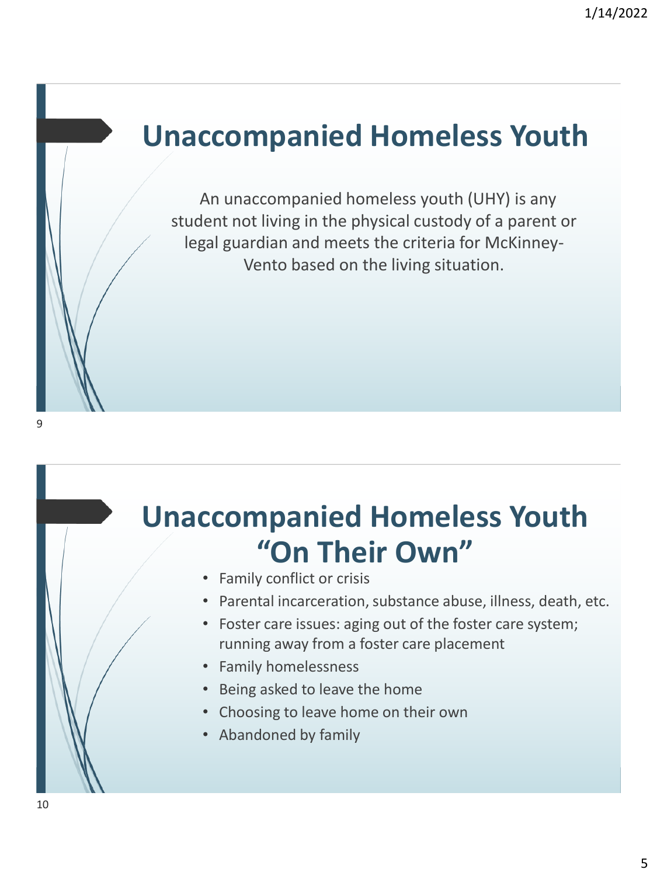### **Unaccompanied Homeless Youth**

An unaccompanied homeless youth (UHY) is any student not living in the physical custody of a parent or legal guardian and meets the criteria for McKinney-Vento based on the living situation.

## **Unaccompanied Homeless Youth "On Their Own"**

- Family conflict or crisis
- Parental incarceration, substance abuse, illness, death, etc.
- Foster care issues: aging out of the foster care system; running away from a foster care placement
- Family homelessness
- Being asked to leave the home
- Choosing to leave home on their own
- Abandoned by family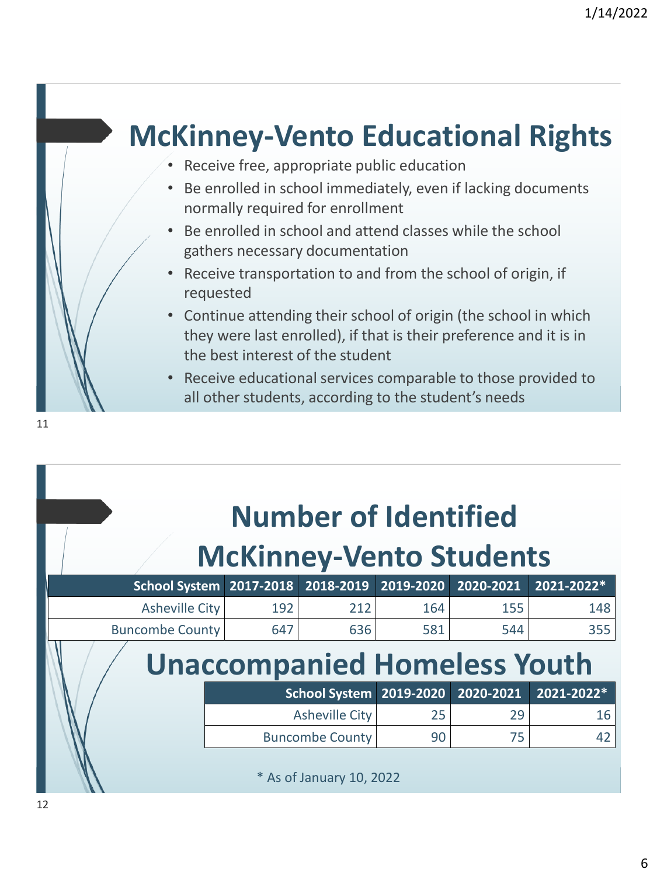

| <b>Number of Identified</b>    |  |
|--------------------------------|--|
| <b>McKinney-Vento Students</b> |  |

| School System 2017-2018             |     | 2018-2019              | $2019 - 2020$           | 2020-2021 | 2021-2022* |  |
|-------------------------------------|-----|------------------------|-------------------------|-----------|------------|--|
| Asheville City                      | 192 | 212                    | 164                     | 155       | 148        |  |
| <b>Buncombe County</b>              | 647 | 636                    | 581                     | 544       | 355        |  |
| <b>Unaccompanied Homeless Youth</b> |     |                        |                         |           |            |  |
|                                     |     |                        | School System 2019-2020 | 2020-2021 | 2021-2022* |  |
|                                     |     | <b>Asheville City</b>  | 25                      | 29        | 16         |  |
|                                     |     | <b>Buncombe County</b> | 90                      | 75        | 42         |  |
|                                     |     |                        |                         |           |            |  |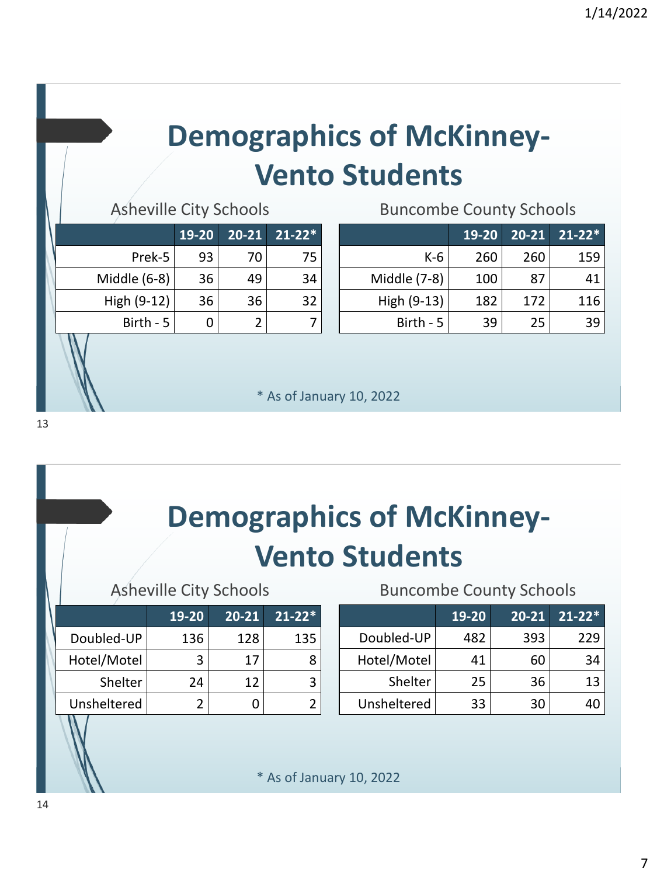# **Demographics of McKinney-Vento Students**

Asheville City Schools **Buncombe County Schools** 

|              | 19-20 | $20 - 21$ | $21 - 22*$ |
|--------------|-------|-----------|------------|
| Prek-5       | 93    | 70        | 75         |
| Middle (6-8) | 36    | 49        | 34         |
| High (9-12)  | 36    | 36        | 32         |
| Birth - 5    |       |           |            |

|              | 19-20 | 20-21 | $21 - 22*$ |
|--------------|-------|-------|------------|
| K-6          | 260   | 260   | 159        |
| Middle (7-8) | 100   | 87    | 41         |
| High (9-13)  | 182   | 172   | 116        |
| Birth - 5    | 39    | 25    | 39         |

\* As of January 10, 2022

# **Demographics of McKinney-Vento Students**

|             | 19-20 | 20-21 | $21 - 22*$ |  |  |
|-------------|-------|-------|------------|--|--|
| Doubled-UP  | 136   | 128   | 135        |  |  |
| Hotel/Motel |       | 17    | 8          |  |  |
| Shelter     | 24    | 12    | ર          |  |  |
| Unsheltered |       |       |            |  |  |

### Asheville City Schools Buncombe County Schools

|             | 19-20 | 20-21 | $21 - 22*$ |
|-------------|-------|-------|------------|
| Doubled-UP  | 482   | 393   | 229        |
| Hotel/Motel | 41    | 60    | 34         |
| Shelter     | 25    | 36    | 13         |
| Unsheltered | 33    | 30    |            |

\* As of January 10, 2022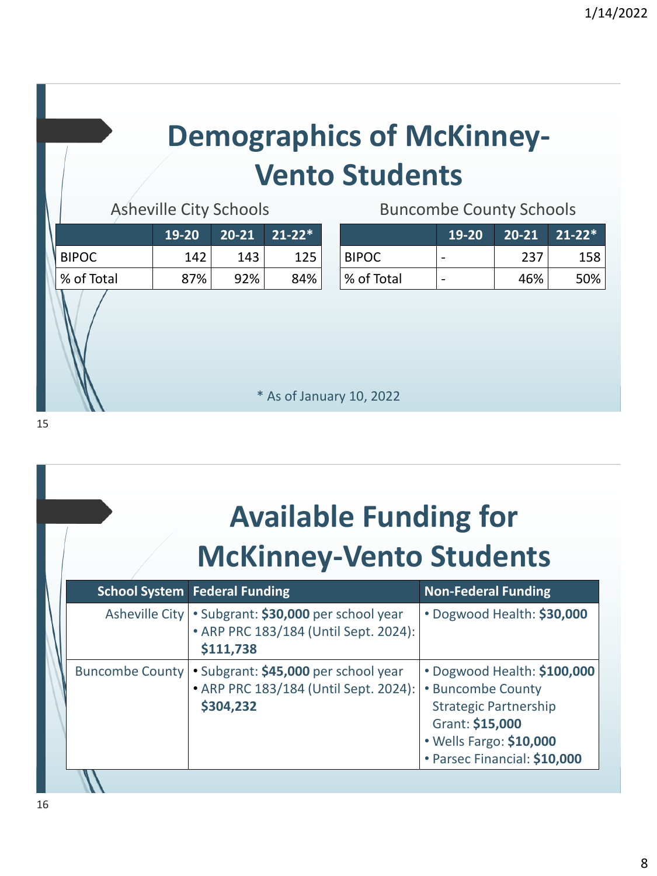# **Demographics of McKinney-Vento Students**

Asheville City Schools Buncombe County Schools

|            | $19-20$ |     | $20-21$ 21-22* |
|------------|---------|-----|----------------|
| I BIPOC.   | 142     | 143 | 125            |
| % of Total | 87%     | 92% | 84%            |
|            |         |     |                |

|            | 19-20 |     | $20-21$ 21-22* |
|------------|-------|-----|----------------|
| BIPOC.     |       | 237 | 158            |
| % of Total |       | 46% | 50%            |

\* As of January 10, 2022

15

| <b>Available Funding for</b><br><b>McKinney-Vento Students</b> |  |                                                                                                              |                                                                                                                                                                |  |
|----------------------------------------------------------------|--|--------------------------------------------------------------------------------------------------------------|----------------------------------------------------------------------------------------------------------------------------------------------------------------|--|
|                                                                |  | <b>School System   Federal Funding</b>                                                                       | <b>Non-Federal Funding</b>                                                                                                                                     |  |
|                                                                |  | Asheville City   • Subgrant: \$30,000 per school year<br>• ARP PRC 183/184 (Until Sept. 2024):<br>\$111,738  | • Dogwood Health: \$30,000                                                                                                                                     |  |
|                                                                |  | Buncombe County   • Subgrant: \$45,000 per school year<br>• ARP PRC 183/184 (Until Sept. 2024):<br>\$304,232 | • Dogwood Health: \$100,000<br>• Buncombe County<br><b>Strategic Partnership</b><br>Grant: \$15,000<br>• Wells Fargo: \$10,000<br>• Parsec Financial: \$10,000 |  |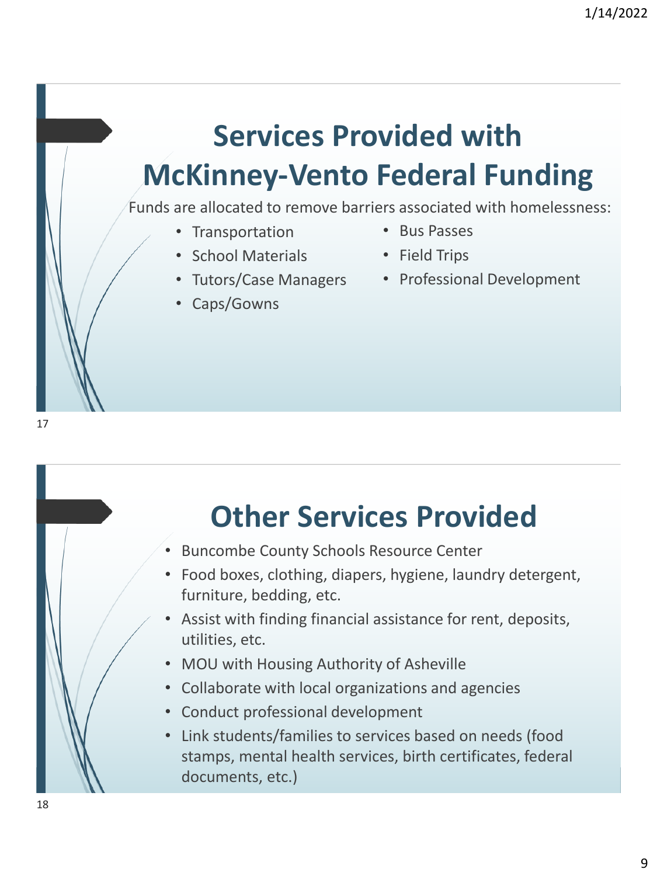# **Services Provided with McKinney-Vento Federal Funding**

Funds are allocated to remove barriers associated with homelessness:

- Transportation
- School Materials
- Tutors/Case Managers
- Caps/Gowns
- Bus Passes
- Field Trips
- Professional Development

### **Other Services Provided**

- Buncombe County Schools Resource Center
- Food boxes, clothing, diapers, hygiene, laundry detergent, furniture, bedding, etc.
- Assist with finding financial assistance for rent, deposits, utilities, etc.
- MOU with Housing Authority of Asheville
- Collaborate with local organizations and agencies
- Conduct professional development
- Link students/families to services based on needs (food stamps, mental health services, birth certificates, federal documents, etc.)

17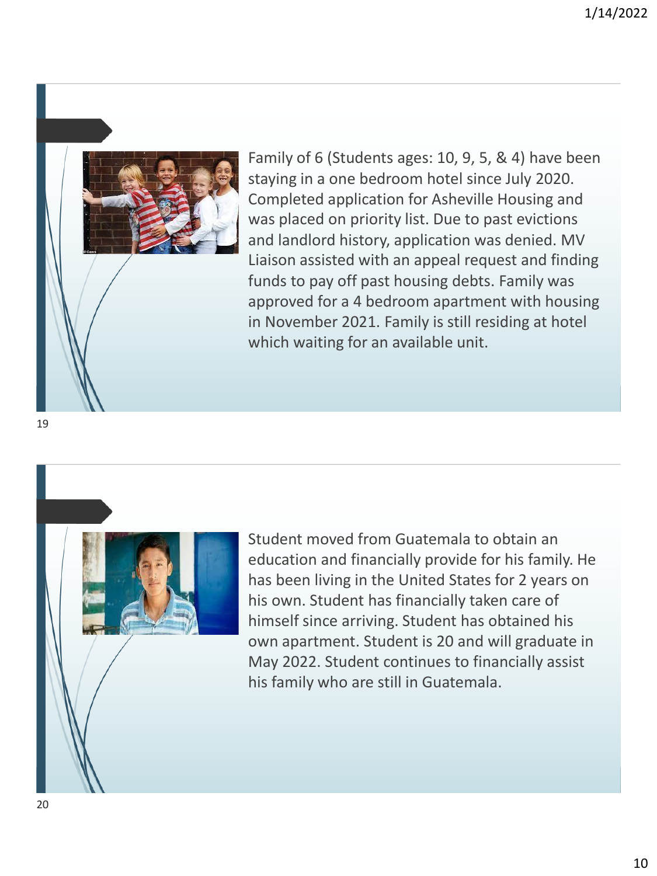

Family of 6 (Students ages: 10, 9, 5, & 4) have been staying in a one bedroom hotel since July 2020. Completed application for Asheville Housing and was placed on priority list. Due to past evictions and landlord history, application was denied. MV Liaison assisted with an appeal request and finding funds to pay off past housing debts. Family was approved for a 4 bedroom apartment with housing in November 2021. Family is still residing at hotel which waiting for an available unit.

19



Student moved from Guatemala to obtain an education and financially provide for his family. He has been living in the United States for 2 years on his own. Student has financially taken care of himself since arriving. Student has obtained his own apartment. Student is 20 and will graduate in May 2022. Student continues to financially assist his family who are still in Guatemala.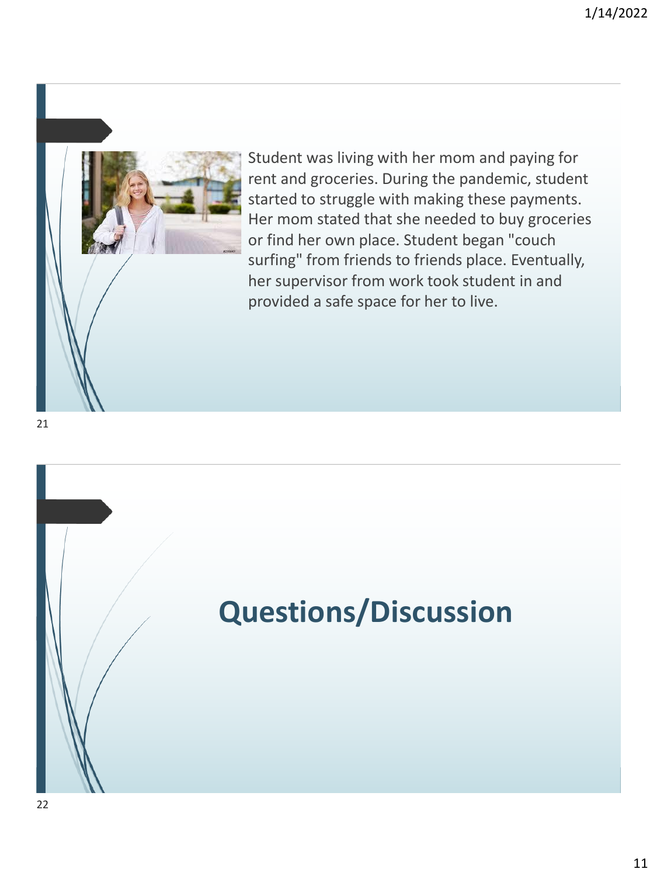

Student was living with her mom and paying for rent and groceries. During the pandemic, student started to struggle with making these payments. Her mom stated that she needed to buy groceries or find her own place. Student began "couch surfing" from friends to friends place. Eventually, her supervisor from work took student in and provided a safe space for her to live.

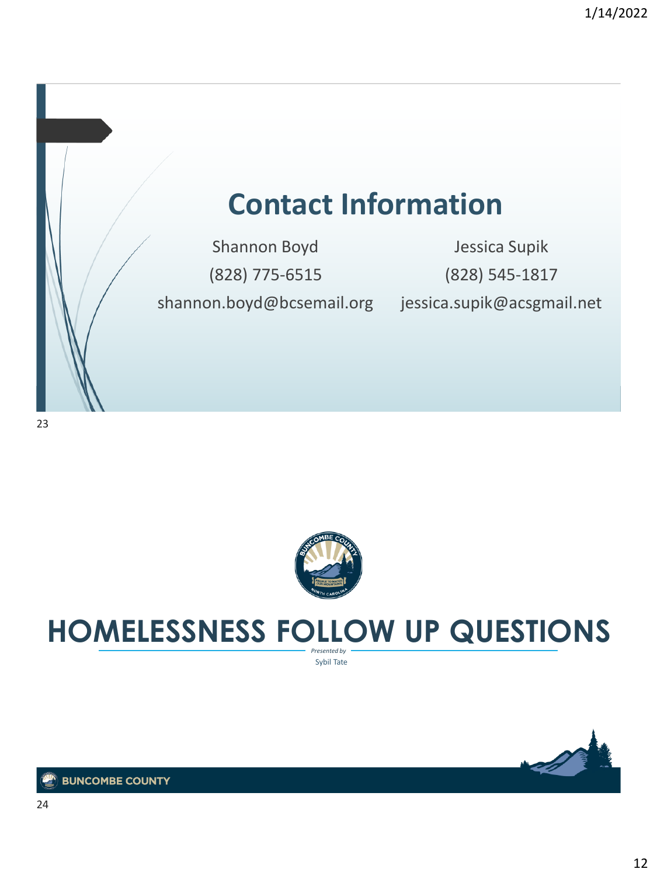### **Contact Information**

Shannon Boyd (828) 775-6515 shannon.boyd@bcsemail.org jessica.supik@acsgmail.net

Jessica Supik (828) 545-1817



### *Presented by* **HOMELESSNESS FOLLOW UP QUESTIONS**

Sybil Tate

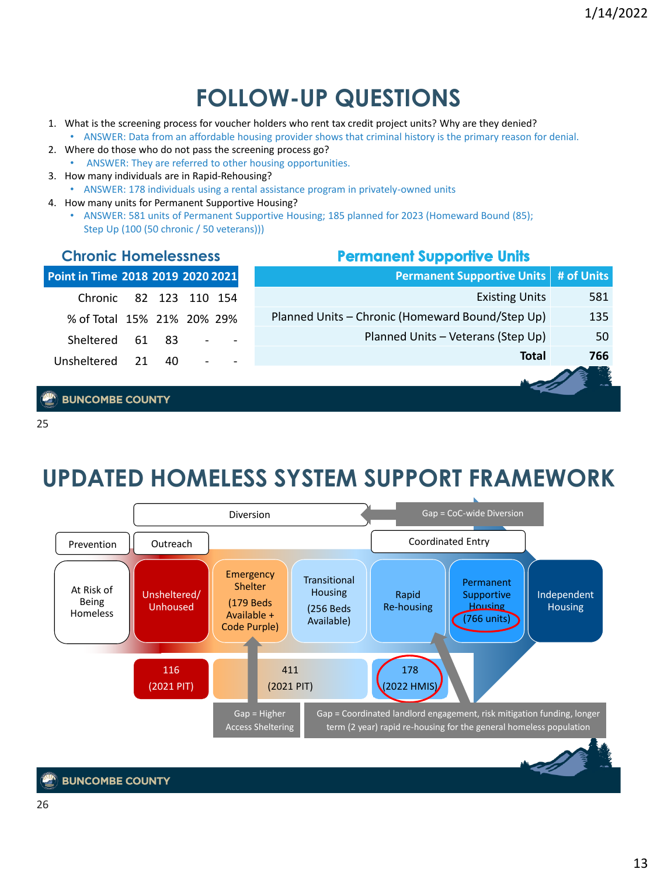**Permanent Supportive Units # of Units**

Planned Units – Veterans (Step Up) 50

Planned Units – Chronic (Homeward Bound/Step Up) 135

**Permanent Supportive Units** 

Existing Units 581

**Total 766**

### **FOLLOW-UP QUESTIONS**

- 1. What is the screening process for voucher holders who rent tax credit project units? Why are they denied?
- ANSWER: Data from an affordable housing provider shows that criminal history is the primary reason for denial. 2. Where do those who do not pass the screening process go?
- ANSWER: They are referred to other housing opportunities.
- 3. How many individuals are in Rapid-Rehousing?
	- ANSWER: 178 individuals using a rental assistance program in privately-owned units
- 4. How many units for Permanent Supportive Housing?
	- ANSWER: 581 units of Permanent Supportive Housing; 185 planned for 2023 (Homeward Bound (85); Step Up (100 (50 chronic / 50 veterans)))

#### **Chronic Homelessness**

| Point in Time 2018 2019 2020 2021 |    |  |
|-----------------------------------|----|--|
| Chronic 82 123 110 154            |    |  |
| % of Total 15% 21% 20% 29%        |    |  |
| Sheltered 61 83                   |    |  |
| Unsheltered 21                    | 40 |  |

#### **BUNCOMBE COUNTY**

25

### **UPDATED HOMELESS SYSTEM SUPPORT FRAMEWORK**

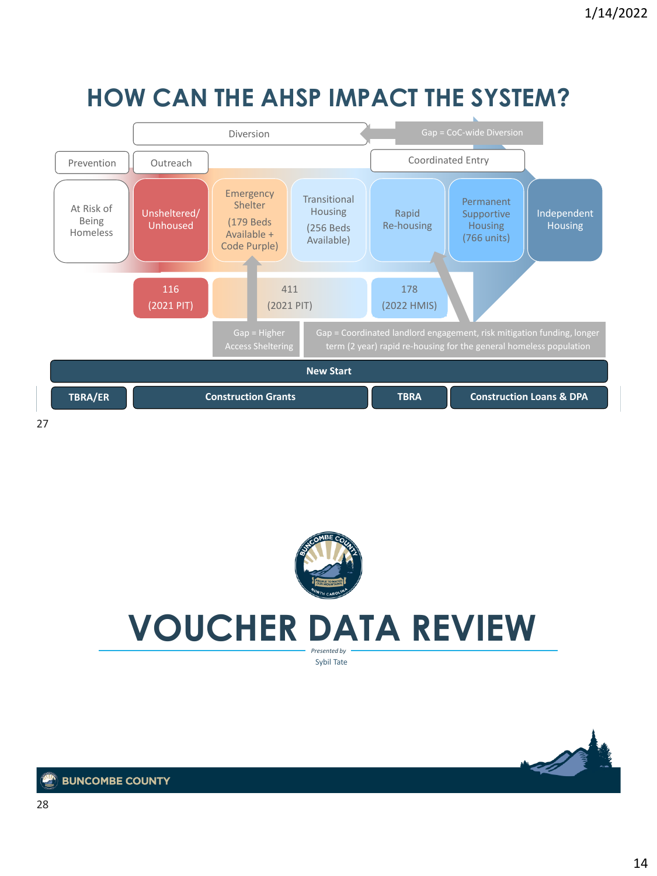### **HOW CAN THE AHSP IMPACT THE SYSTEM?**



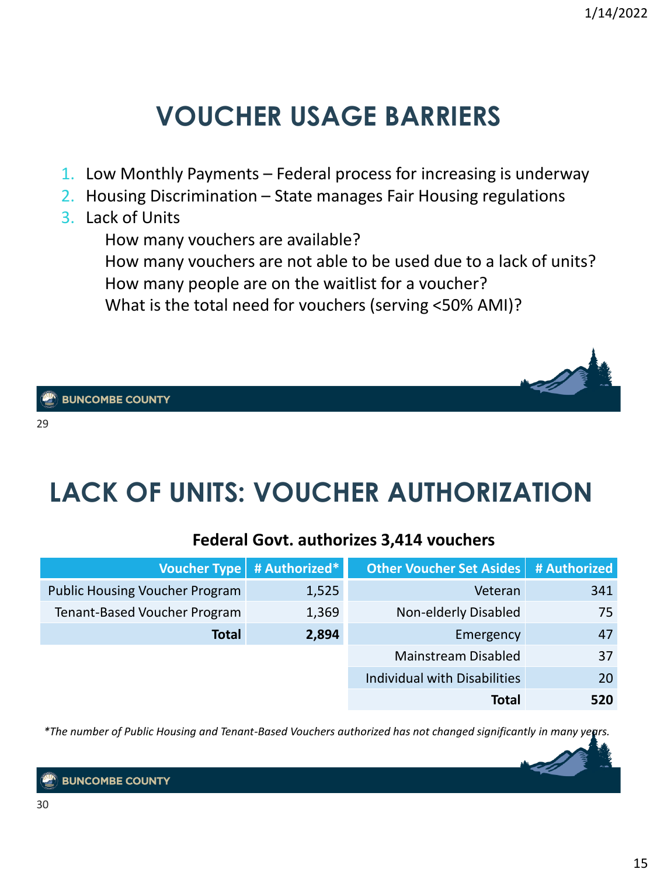### **VOUCHER USAGE BARRIERS**

- 1. Low Monthly Payments Federal process for increasing is underway
- 2. Housing Discrimination State manages Fair Housing regulations
- 3. Lack of Units

How many vouchers are available?

How many vouchers are not able to be used due to a lack of units?

How many people are on the waitlist for a voucher?

What is the total need for vouchers (serving <50% AMI)?

**BUNCOMBE COUNTY** 

29

### **LACK OF UNITS: VOUCHER AUTHORIZATION**

### **Federal Govt. authorizes 3,414 vouchers**

| <b>Voucher Type</b>                   | # Authorized* | <b>Other Voucher Set Asides</b> | # Authorized |
|---------------------------------------|---------------|---------------------------------|--------------|
| <b>Public Housing Voucher Program</b> | 1,525         | Veteran                         | 341          |
| Tenant-Based Voucher Program          | 1,369         | Non-elderly Disabled            | 75           |
| <b>Total</b>                          | 2,894         | Emergency                       | 47           |
|                                       |               | Mainstream Disabled             | 37           |
|                                       |               | Individual with Disabilities    | 20           |
|                                       |               | Total                           | 520          |

*\*The number of Public Housing and Tenant-Based Vouchers authorized has not changed significantly in many years.*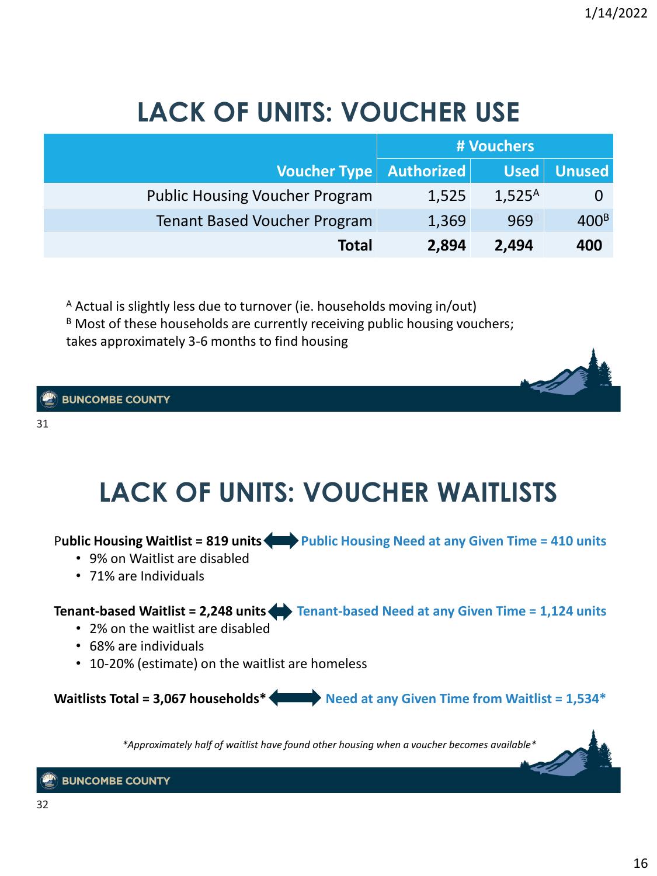### **LACK OF UNITS: VOUCHER USE**

|                                       | # Vouchers |             |                  |
|---------------------------------------|------------|-------------|------------------|
| Voucher Type   Authorized             |            | $Used$      | <b>Unused</b>    |
| <b>Public Housing Voucher Program</b> | 1,525      | $1,525^{A}$ |                  |
| <b>Tenant Based Voucher Program</b>   | 1,369      | 969         | 400 <sup>B</sup> |
| <b>Total</b>                          | 2,894      | 2,494       | 400              |

<sup>A</sup> Actual is slightly less due to turnover (ie. households moving in/out)  $B$  Most of these households are currently receiving public housing vouchers; takes approximately 3-6 months to find housing

#### **BUNCOMBE COUNTY**

31

### **LACK OF UNITS: VOUCHER WAITLISTS**

P**ublic Housing Waitlist = 819 units Public Housing Need at any Given Time = 410 units**

- 9% on Waitlist are disabled
- 71% are Individuals

### **Tenant-based Waitlist = 2,248 units Tenant-based Need at any Given Time = 1,124 units**

- 2% on the waitlist are disabled
- 68% are individuals
- 10-20% (estimate) on the waitlist are homeless

**Waitlists Total = 3,067 households\* Need at any Given Time from Waitlist = 1,534\***

*\*Approximately half of waitlist have found other housing when a voucher becomes available\**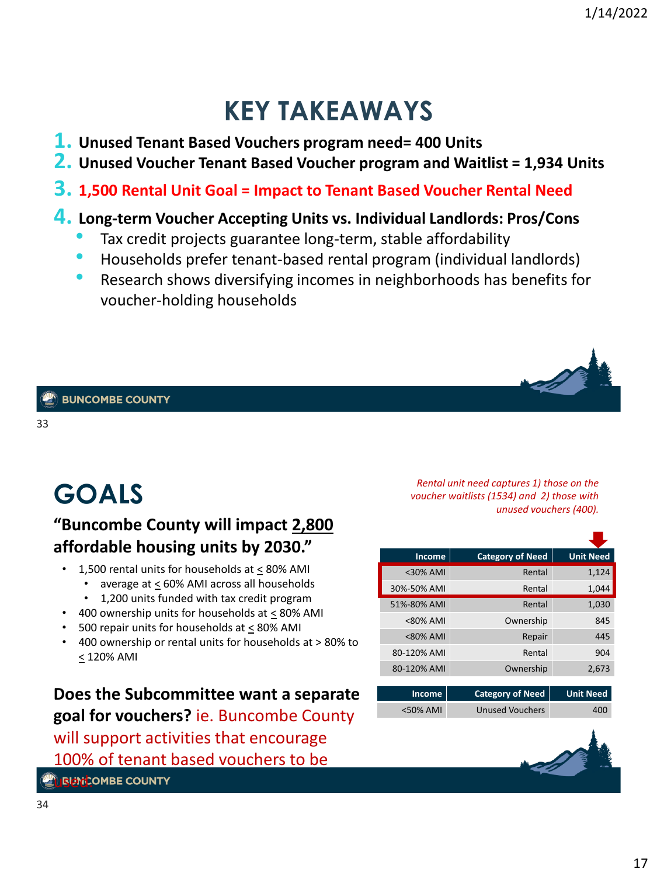### **KEY TAKEAWAYS**

- **1. Unused Tenant Based Vouchers program need= 400 Units**
- **2. Unused Voucher Tenant Based Voucher program and Waitlist = 1,934 Units**
- **3. 1,500 Rental Unit Goal = Impact to Tenant Based Voucher Rental Need**

### **4. Long-term Voucher Accepting Units vs. Individual Landlords: Pros/Cons**

- Tax credit projects guarantee long-term, stable affordability
- Households prefer tenant-based rental program (individual landlords)
- Research shows diversifying incomes in neighborhoods has benefits for voucher-holding households

33

### **GOALS**

### **"Buncombe County will impact 2,800 affordable housing units by 2030."**

- 1,500 rental units for households at < 80% AMI
	- average at < 60% AMI across all households
	- 1,200 units funded with tax credit program
- 400 ownership units for households at < 80% AMI
- 500 repair units for households at < 80% AMI
- 400 ownership or rental units for households at > 80% to < 120% AMI

**Does the Subcommittee want a separate goal for vouchers?** ie. Buncombe County will support activities that encourage 100% of tenant based vouchers to be

**L'i REMCOMBE COUNTY** 

*Rental unit need captures 1) those on the voucher waitlists (1534) and 2) those with unused vouchers (400).*

| Income      | <b>Category of Need</b> | <b>Unit Need</b> |
|-------------|-------------------------|------------------|
| $<$ 30% AMI | Rental                  | 1,124            |
| 30%-50% AMI | Rental                  | 1,044            |
| 51%-80% AMI | Rental                  | 1,030            |
| $<80\%$ AMI | Ownership               | 845              |
| <80% AMI    | Repair                  | 445              |
| 80-120% AMI | Rental                  | 904              |
| 80-120% AMI | Ownership               | 2,673            |

| Income      | Category of Need | <b>Unit Need</b> |
|-------------|------------------|------------------|
| $<$ 50% AMI | Unused Vouchers  | 400              |

г

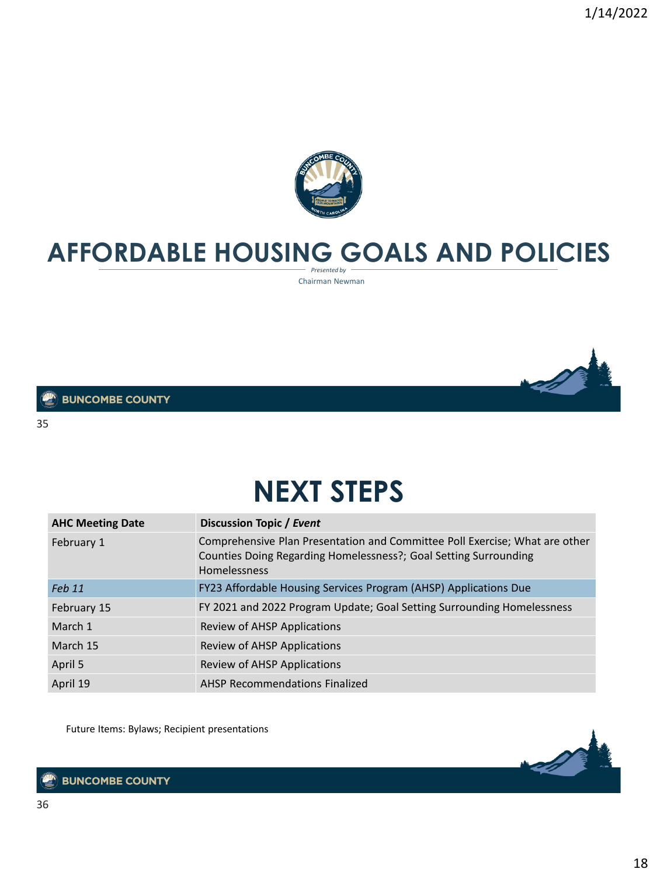

### *Presented by* **AFFORDABLE HOUSING GOALS AND POLICIES**

Chairman Newman



#### **BUNCOMBE COUNTY**

35

### **NEXT STEPS**

| <b>AHC Meeting Date</b> | <b>Discussion Topic / Event</b>                                                                                                                                 |
|-------------------------|-----------------------------------------------------------------------------------------------------------------------------------------------------------------|
| February 1              | Comprehensive Plan Presentation and Committee Poll Exercise; What are other<br>Counties Doing Regarding Homelessness?; Goal Setting Surrounding<br>Homelessness |
| Feb 11                  | FY23 Affordable Housing Services Program (AHSP) Applications Due                                                                                                |
| February 15             | FY 2021 and 2022 Program Update; Goal Setting Surrounding Homelessness                                                                                          |
| March 1                 | Review of AHSP Applications                                                                                                                                     |
| March 15                | Review of AHSP Applications                                                                                                                                     |
| April 5                 | Review of AHSP Applications                                                                                                                                     |
| April 19                | <b>AHSP Recommendations Finalized</b>                                                                                                                           |

Future Items: Bylaws; Recipient presentations